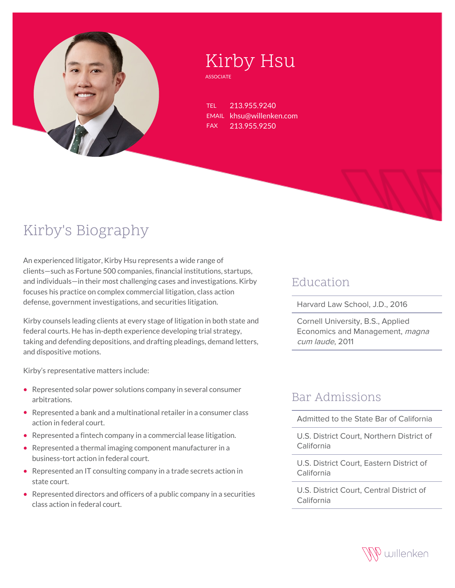

# Kirby Hsu

**ASSOCIATE** 

TEL 213.955.9240 EMAIL khsu@willenken.com FAX 213.955.9250

## Kirby's Biography

An experienced litigator, Kirby Hsu represents a wide range of clients—such as Fortune 500 companies, financial institutions, startups, and individuals—in their most challenging cases and investigations. Kirby focuses his practice on complex commercial litigation, class action defense, government investigations, and securities litigation.

Kirby counsels leading clients at every stage of litigation in both state and federal courts. He has in-depth experience developing trial strategy, taking and defending depositions, and drafting pleadings, demand letters, and dispositive motions.

Kirby's representative matters include:

- Represented solar power solutions company in several consumer arbitrations.
- Represented a bank and a multinational retailer in a consumer class action in federal court.
- Represented a fintech company in a commercial lease litigation.
- Represented a thermal imaging component manufacturer in a business-tort action in federal court.
- Represented an IT consulting company in a trade secrets action in state court.
- Represented directors and officers of a public company in a securities class action in federal court.

#### Education

Harvard Law School, J.D., 2016

Cornell University, B.S., Applied Economics and Management, magna cum laude, 2011

#### Bar Admissions

Admitted to the State Bar of California

U.S. District Court, Northern District of California

U.S. District Court, Eastern District of California

U.S. District Court, Central District of California